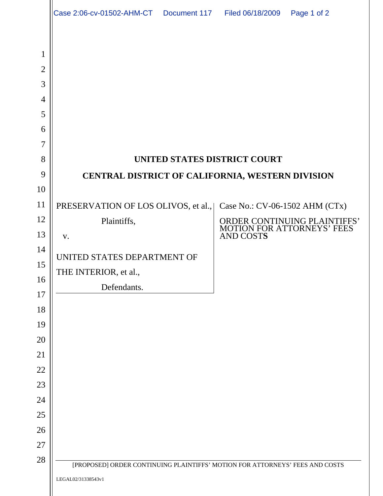|                | Case 2:06-cv-01502-AHM-CT  Document 117  Filed 06/18/2009 |                                                                              |                                | Page 1 of 2                  |  |
|----------------|-----------------------------------------------------------|------------------------------------------------------------------------------|--------------------------------|------------------------------|--|
| $\mathbf{1}$   |                                                           |                                                                              |                                |                              |  |
| $\overline{2}$ |                                                           |                                                                              |                                |                              |  |
| 3              |                                                           |                                                                              |                                |                              |  |
| $\overline{4}$ |                                                           |                                                                              |                                |                              |  |
| 5              |                                                           |                                                                              |                                |                              |  |
| 6              |                                                           |                                                                              |                                |                              |  |
| 7              |                                                           |                                                                              |                                |                              |  |
| 8              | UNITED STATES DISTRICT COURT                              |                                                                              |                                |                              |  |
| 9              | CENTRAL DISTRICT OF CALIFORNIA, WESTERN DIVISION          |                                                                              |                                |                              |  |
| 10             |                                                           |                                                                              |                                |                              |  |
| 11             | PRESERVATION OF LOS OLIVOS, et al.,                       |                                                                              | Case No.: CV-06-1502 AHM (CTx) |                              |  |
| 12<br>13       | Plaintiffs,                                               |                                                                              | MOTION FOR ATTORNEYS' FEES     | ORDER CONTINUING PLAINTIFFS' |  |
| 14             | V.                                                        |                                                                              | <b>AND COSTS</b>               |                              |  |
| 15             | UNITED STATES DEPARTMENT OF                               |                                                                              |                                |                              |  |
| 16             | THE INTERIOR, et al.,                                     |                                                                              |                                |                              |  |
| 17             | Defendants.                                               |                                                                              |                                |                              |  |
| 18             |                                                           |                                                                              |                                |                              |  |
| 19             |                                                           |                                                                              |                                |                              |  |
| 20             |                                                           |                                                                              |                                |                              |  |
| 21             |                                                           |                                                                              |                                |                              |  |
| 22             |                                                           |                                                                              |                                |                              |  |
| 23             |                                                           |                                                                              |                                |                              |  |
| 24             |                                                           |                                                                              |                                |                              |  |
| 25             |                                                           |                                                                              |                                |                              |  |
| 26             |                                                           |                                                                              |                                |                              |  |
| 27             |                                                           |                                                                              |                                |                              |  |
| 28             |                                                           | [PROPOSED] ORDER CONTINUING PLAINTIFFS' MOTION FOR ATTORNEYS' FEES AND COSTS |                                |                              |  |
|                | LEGAL02/31338543v1                                        |                                                                              |                                |                              |  |
|                |                                                           |                                                                              |                                |                              |  |